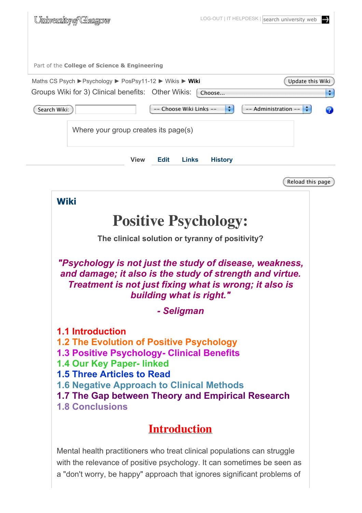| <u>University of Glasgow</u>                             | LOG-OUT   IT HELPDESK   search university web<br> ⊶ |
|----------------------------------------------------------|-----------------------------------------------------|
|                                                          |                                                     |
| Part of the College of Science & Engineering             |                                                     |
| Maths CS Psych ▶ Psychology ▶ PosPsy11-12 ▶ Wikis ▶ Wiki | Update this Wiki                                    |
| Groups Wiki for 3) Clinical benefits: Other Wikis:       | ÷<br>Choose                                         |
| -- Choose Wiki Links --<br>Search Wiki:                  | ÷<br>$\frac{1}{2}$<br>-- Administration --<br>9     |
| Where your group creates its page(s)                     |                                                     |
| <b>View</b><br><b>Edit</b><br><b>Links</b>               | <b>History</b>                                      |
|                                                          | Reload this page                                    |
| <b>Wiki</b>                                              |                                                     |
| <b>Positive Psychology:</b>                              |                                                     |
| The clinical solution or tyranny of positivity?          |                                                     |

*"Psychology is not just the study of disease, weakness, and damage; it also is the study of strength and virtue. Treatment is not just fixing what is wrong; it also is building what is right."*

*- Seligman*

**1.1 Introduction 1.2 The Evolution of Positive Psychology 1.3 Positive Psychology- Clinical Benefits 1.4 Our Key Paper- linked 1.5 Three Articles to Read 1.6 Negative Approach to Clinical Methods 1.7 The Gap between Theory and Empirical Research 1.8 Conclusions**

# **Introduction**

Mental health practitioners who treat clinical populations can struggle with the relevance of positive psychology. It can sometimes be seen as a "don't worry, be happy" approach that ignores significant problems of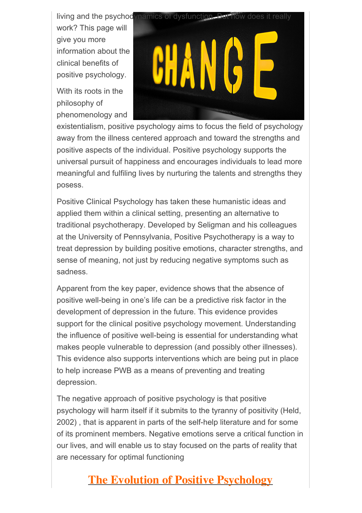work? This page will give you more information about the clinical benefits of positive psychology.

With its roots in the philosophy of phenomenology and



existentialism, positive psychology aims to focus the field of psychology away from the illness centered approach and toward the strengths and positive aspects of the individual. Positive psychology supports the universal pursuit of happiness and encourages individuals to lead more meaningful and fulfiling lives by nurturing the talents and strengths they posess.

Positive Clinical Psychology has taken these humanistic ideas and applied them within a clinical setting, presenting an alternative to traditional psychotherapy. Developed by Seligman and his colleagues at the University of Pennsylvania, Positive Psychotherapy is a way to treat depression by building positive emotions, character strengths, and sense of meaning, not just by reducing negative symptoms such as sadness.

Apparent from the key paper, evidence shows that the absence of positive well-being in one's life can be a predictive risk factor in the development of depression in the future. This evidence provides support for the clinical positive psychology movement. Understanding the influence of positive well-being is essential for understanding what makes people vulnerable to depression (and possibly other illnesses). This evidence also supports interventions which are being put in place to help increase PWB as a means of preventing and treating depression.

The negative approach of positive psychology is that positive psychology will harm itself if it submits to the tyranny of positivity (Held, 2002) , that is apparent in parts of the self-help literature and for some of its prominent members. Negative emotions serve a critical function in our lives, and will enable us to stay focused on the parts of reality that are necessary for optimal functioning

# **The Evolution of Positive Psychology**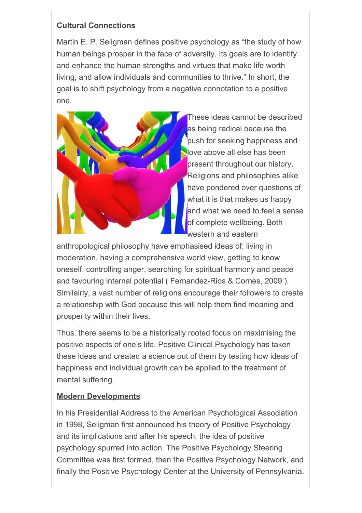#### **Cultural Connections**

Martin E. P. Seligman defines positive psychology as "the study of how human beings prosper in the face of adversity. Its goals are to identify and enhance the human strengths and virtues that make life worth living, and allow individuals and communities to thrive." In short, the goal is to shift psychology from a negative connotation to a positive one.



These ideas cannot be described as being radical because the push for seeking happiness and love above all else has been present throughout our history. Religions and philosophies alike have pondered over questions of what it is that makes us happy and what we need to feel a sense of complete wellbeing. Both western and eastern

anthropological philosophy have emphasised ideas of: living in moderation, having a comprehensive world view, getting to know oneself, controlling anger, searching for spiritual harmony and peace and favouring internal potential ( Fernandez-Rios & Cornes, 2009 ). Similalrly, a vast number of religions encourage their followers to create a relationship with God because this will help them find meaning and prosperity within their lives.

Thus, there seems to be a historically rooted focus on maximising the positive aspects of one's life. Positive Clinical Psychology has taken these ideas and created a science out of them by testing how ideas of happiness and individual growth can be applied to the treatment of mental suffering.

#### **Modern Developments**

In his Presidential Address to the American Psychological Association in 1998, Seligman first announced his theory of Positive Psychology and its implications and after his speech, the idea of positive psychology spurred into action. The Positive Psychology Steering Committee was first formed, then the Positive Psychology Network, and finally the Positive Psychology Center at the University of Pennsylvania.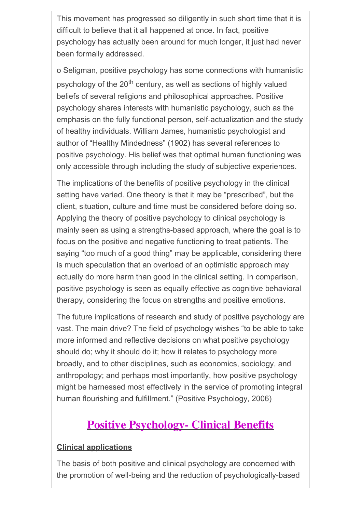This movement has progressed so diligently in such short time that it is difficult to believe that it all happened at once. In fact, positive psychology has actually been around for much longer, it just had never been formally addressed.

o Seligman, positive psychology has some connections with humanistic psychology of the 20<sup>th</sup> century, as well as sections of highly valued beliefs of several religions and philosophical approaches. Positive psychology shares interests with humanistic psychology, such as the emphasis on the fully functional person, self-actualization and the study of healthy individuals. William James, humanistic psychologist and author of "Healthy Mindedness" (1902) has several references to positive psychology. His belief was that optimal human functioning was only accessible through including the study of subjective experiences.

The implications of the benefits of positive psychology in the clinical setting have varied. One theory is that it may be "prescribed", but the client, situation, culture and time must be considered before doing so. Applying the theory of positive psychology to clinical psychology is mainly seen as using a strengths-based approach, where the goal is to focus on the positive and negative functioning to treat patients. The saying "too much of a good thing" may be applicable, considering there is much speculation that an overload of an optimistic approach may actually do more harm than good in the clinical setting. In comparison, positive psychology is seen as equally effective as cognitive behavioral therapy, considering the focus on strengths and positive emotions.

The future implications of research and study of positive psychology are vast. The main drive? The field of psychology wishes "to be able to take more informed and reflective decisions on what positive psychology should do; why it should do it; how it relates to psychology more broadly, and to other disciplines, such as economics, sociology, and anthropology; and perhaps most importantly, how positive psychology might be harnessed most effectively in the service of promoting integral human flourishing and fulfillment." (Positive Psychology, 2006)

### **Positive Psychology- Clinical Benefits**

#### **Clinical applications**

The basis of both positive and clinical psychology are concerned with the promotion of well-being and the reduction of psychologically-based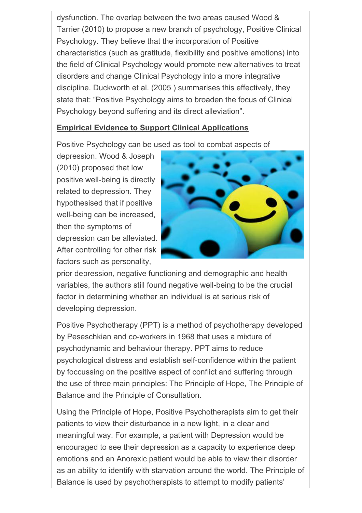dysfunction. The overlap between the two areas caused Wood & Tarrier (2010) to propose a new branch of psychology, Positive Clinical Psychology. They believe that the incorporation of Positive characteristics (such as gratitude, flexibility and positive emotions) into the field of Clinical Psychology would promote new alternatives to treat disorders and change Clinical Psychology into a more integrative discipline. Duckworth et al. (2005 ) summarises this effectively, they state that: "Positive Psychology aims to broaden the focus of Clinical Psychology beyond suffering and its direct alleviation".

#### **Empirical Evidence to Support Clinical Applications**

Positive Psychology can be used as tool to combat aspects of

depression. Wood & Joseph (2010) proposed that low positive well-being is directly related to depression. They hypothesised that if positive well-being can be increased, then the symptoms of depression can be alleviated. After controlling for other risk factors such as personality,



prior depression, negative functioning and demographic and health variables, the authors still found negative well-being to be the crucial factor in determining whether an individual is at serious risk of developing depression.

Positive Psychotherapy (PPT) is a method of psychotherapy developed by Peseschkian and co-workers in 1968 that uses a mixture of psychodynamic and behaviour therapy. PPT aims to reduce psychological distress and establish self-confidence within the patient by foccussing on the positive aspect of conflict and suffering through the use of three main principles: The Principle of Hope, The Principle of Balance and the Principle of Consultation.

Using the Principle of Hope, Positive Psychotherapists aim to get their patients to view their disturbance in a new light, in a clear and meaningful way. For example, a patient with Depression would be encouraged to see their depression as a capacity to experience deep emotions and an Anorexic patient would be able to view their disorder as an ability to identify with starvation around the world. The Principle of Balance is used by psychotherapists to attempt to modify patients'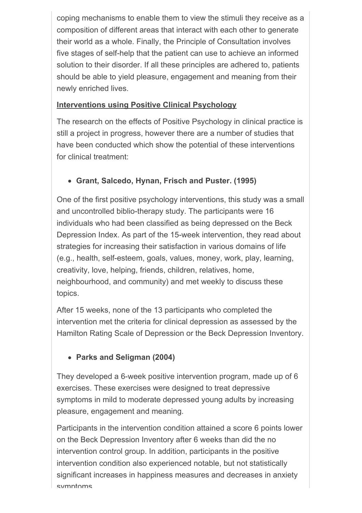coping mechanisms to enable them to view the stimuli they receive as a composition of different areas that interact with each other to generate their world as a whole. Finally, the Principle of Consultation involves five stages of self-help that the patient can use to achieve an informed solution to their disorder. If all these principles are adhered to, patients should be able to yield pleasure, engagement and meaning from their newly enriched lives.

#### **Interventions using Positive Clinical Psychology**

The research on the effects of Positive Psychology in clinical practice is still a project in progress, however there are a number of studies that have been conducted which show the potential of these interventions for clinical treatment:

### **Grant, Salcedo, Hynan, Frisch and Puster. (1995)**

One of the first positive psychology interventions, this study was a small and uncontrolled biblio-therapy study. The participants were 16 individuals who had been classified as being depressed on the Beck Depression Index. As part of the 15-week intervention, they read about strategies for increasing their satisfaction in various domains of life (e.g., health, self-esteem, goals, values, money, work, play, learning, creativity, love, helping, friends, children, relatives, home, neighbourhood, and community) and met weekly to discuss these topics.

After 15 weeks, none of the 13 participants who completed the intervention met the criteria for clinical depression as assessed by the Hamilton Rating Scale of Depression or the Beck Depression Inventory.

### **Parks and Seligman (2004)**

They developed a 6-week positive intervention program, made up of 6 exercises. These exercises were designed to treat depressive symptoms in mild to moderate depressed young adults by increasing pleasure, engagement and meaning.

Participants in the intervention condition attained a score 6 points lower on the Beck Depression Inventory after 6 weeks than did the no intervention control group. In addition, participants in the positive intervention condition also experienced notable, but not statistically significant increases in happiness measures and decreases in anxiety symptoms.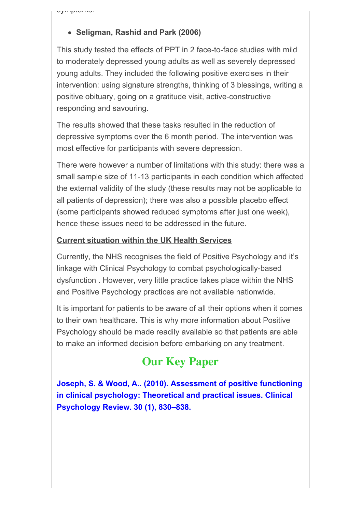symptoms.

#### **Seligman, Rashid and Park (2006)**

This study tested the effects of PPT in 2 face-to-face studies with mild to moderately depressed young adults as well as severely depressed young adults. They included the following positive exercises in their intervention: using signature strengths, thinking of 3 blessings, writing a positive obituary, going on a gratitude visit, active-constructive responding and savouring.

The results showed that these tasks resulted in the reduction of depressive symptoms over the 6 month period. The intervention was most effective for participants with severe depression.

There were however a number of limitations with this study: there was a small sample size of 11-13 participants in each condition which affected the external validity of the study (these results may not be applicable to all patients of depression); there was also a possible placebo effect (some participants showed reduced symptoms after just one week), hence these issues need to be addressed in the future.

#### **Current situation within the UK Health Services**

Currently, the NHS recognises the field of Positive Psychology and it's linkage with Clinical Psychology to combat psychologically-based dysfunction . However, very little practice takes place within the NHS and Positive Psychology practices are not available nationwide.

It is important for patients to be aware of all their options when it comes to their own healthcare. This is why more information about Positive Psychology should be made readily available so that patients are able to make an informed decision before embarking on any treatment.

## **Our Key Paper**

**Joseph, S. & Wood, A.. (2010). Assessment of positive functioning in clinical psychology: Theoretical and practical issues. Clinical Psychology Review. 30 (1), 830–838.**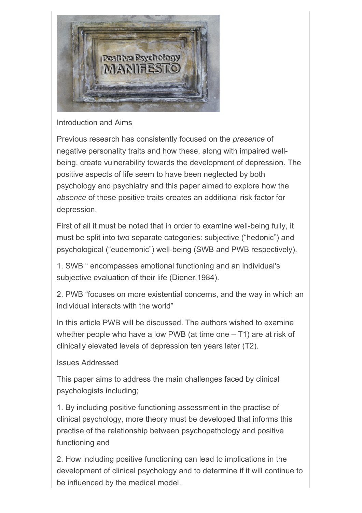

#### Introduction and Aims

Previous research has consistently focused on the *presence* of negative personality traits and how these, along with impaired wellbeing, create vulnerability towards the development of depression. The positive aspects of life seem to have been neglected by both psychology and psychiatry and this paper aimed to explore how the *absence* of these positive traits creates an additional risk factor for depression.

First of all it must be noted that in order to examine well-being fully, it must be split into two separate categories: subjective ("hedonic") and psychological ("eudemonic") well-being (SWB and PWB respectively).

1. SWB " encompasses emotional functioning and an individual's subjective evaluation of their life (Diener,1984).

2. PWB "focuses on more existential concerns, and the way in which an individual interacts with the world"

In this article PWB will be discussed. The authors wished to examine whether people who have a low PWB (at time one  $-$  T1) are at risk of clinically elevated levels of depression ten years later (T2).

#### Issues Addressed

This paper aims to address the main challenges faced by clinical psychologists including;

1. By including positive functioning assessment in the practise of clinical psychology, more theory must be developed that informs this practise of the relationship between psychopathology and positive functioning and

2. How including positive functioning can lead to implications in the development of clinical psychology and to determine if it will continue to be influenced by the medical model.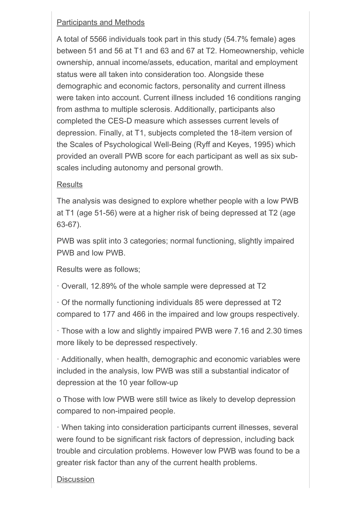#### Participants and Methods

A total of 5566 individuals took part in this study (54.7% female) ages between 51 and 56 at T1 and 63 and 67 at T2. Homeownership, vehicle ownership, annual income/assets, education, marital and employment status were all taken into consideration too. Alongside these demographic and economic factors, personality and current illness were taken into account. Current illness included 16 conditions ranging from asthma to multiple sclerosis. Additionally, participants also completed the CES-D measure which assesses current levels of depression. Finally, at T1, subjects completed the 18-item version of the Scales of Psychological Well-Being (Ryff and Keyes, 1995) which provided an overall PWB score for each participant as well as six subscales including autonomy and personal growth.

#### **Results**

The analysis was designed to explore whether people with a low PWB at T1 (age 51-56) were at a higher risk of being depressed at T2 (age 63-67).

PWB was split into 3 categories; normal functioning, slightly impaired PWB and low PWB.

Results were as follows;

! Overall, 12.89% of the whole sample were depressed at T2

 $\cdot$  Of the normally functioning individuals 85 were depressed at T2 compared to 177 and 466 in the impaired and low groups respectively.

! Those with a low and slightly impaired PWB were 7.16 and 2.30 times more likely to be depressed respectively.

 $\cdot$  Additionally, when health, demographic and economic variables were included in the analysis, low PWB was still a substantial indicator of depression at the 10 year follow-up

o Those with low PWB were still twice as likely to develop depression compared to non-impaired people.

! When taking into consideration participants current illnesses, several were found to be significant risk factors of depression, including back trouble and circulation problems. However low PWB was found to be a greater risk factor than any of the current health problems.

#### **Discussion**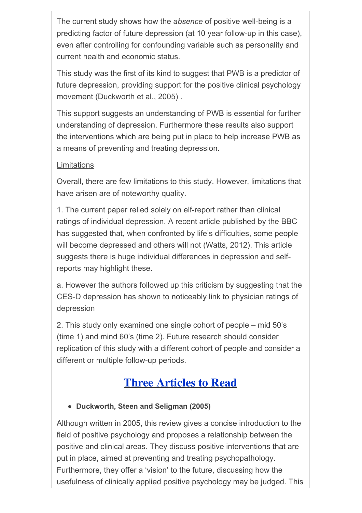The current study shows how the *absence* of positive well-being is a predicting factor of future depression (at 10 year follow-up in this case), even after controlling for confounding variable such as personality and current health and economic status.

This study was the first of its kind to suggest that PWB is a predictor of future depression, providing support for the positive clinical psychology movement (Duckworth et al., 2005) .

This support suggests an understanding of PWB is essential for further understanding of depression. Furthermore these results also support the interventions which are being put in place to help increase PWB as a means of preventing and treating depression.

#### **Limitations**

Overall, there are few limitations to this study. However, limitations that have arisen are of noteworthy quality.

1. The current paper relied solely on elf-report rather than clinical ratings of individual depression. A recent article published by the BBC has suggested that, when confronted by life's difficulties, some people will become depressed and others will not (Watts, 2012). This article suggests there is huge individual differences in depression and selfreports may highlight these.

a. However the authors followed up this criticism by suggesting that the CES-D depression has shown to noticeably link to physician ratings of depression

2. This study only examined one single cohort of people – mid 50's (time 1) and mind 60's (time 2). Future research should consider replication of this study with a different cohort of people and consider a different or multiple follow-up periods.

# **Three Articles to Read**

**Duckworth, Steen and Seligman (2005)**

Although written in 2005, this review gives a concise introduction to the field of positive psychology and proposes a relationship between the positive and clinical areas. They discuss positive interventions that are put in place, aimed at preventing and treating psychopathology. Furthermore, they offer a 'vision' to the future, discussing how the usefulness of clinically applied positive psychology may be judged. This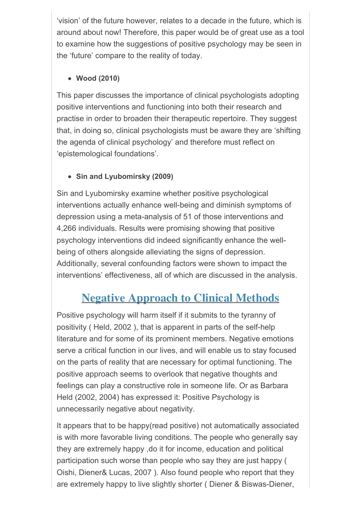'vision' of the future however, relates to a decade in the future, which is around about now! Therefore, this paper would be of great use as a tool to examine how the suggestions of positive psychology may be seen in the 'future' compare to the reality of today.

#### **Wood (2010)**

This paper discusses the importance of clinical psychologists adopting positive interventions and functioning into both their research and practise in order to broaden their therapeutic repertoire. They suggest that, in doing so, clinical psychologists must be aware they are 'shifting the agenda of clinical psychology' and therefore must reflect on 'epistemological foundations'.

### **Sin and Lyubomirsky (2009)**

Sin and Lyubomirsky examine whether positive psychological interventions actually enhance well-being and diminish symptoms of depression using a meta-analysis of 51 of those interventions and 4,266 individuals. Results were promising showing that positive psychology interventions did indeed significantly enhance the wellbeing of others alongside alleviating the signs of depression. Additionally, several confounding factors were shown to impact the interventions' effectiveness, all of which are discussed in the analysis.

# **Negative Approach to Clinical Methods**

Positive psychology will harm itself if it submits to the tyranny of positivity ( Held, 2002 ), that is apparent in parts of the self-help literature and for some of its prominent members. Negative emotions serve a critical function in our lives, and will enable us to stay focused on the parts of reality that are necessary for optimal functioning. The positive approach seems to overlook that negative thoughts and feelings can play a constructive role in someone life. Or as Barbara Held (2002, 2004) has expressed it: Positive Psychology is unnecessarily negative about negativity.

It appears that to be happy(read positive) not automatically associated is with more favorable living conditions. The people who generally say they are extremely happy ,do it for income, education and political participation such worse than people who say they are just happy ( Oishi, Diener& Lucas, 2007 ). Also found people who report that they are extremely happy to live slightly shorter ( Diener & Biswas-Diener,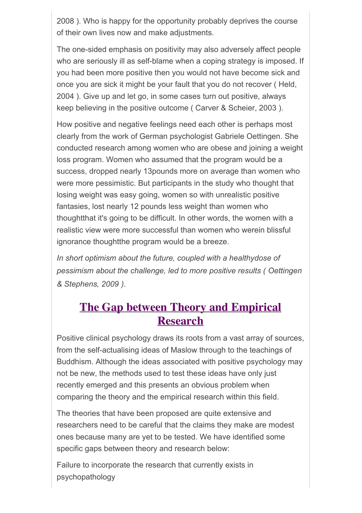2008 ). Who is happy for the opportunity probably deprives the course of their own lives now and make adjustments.

The one-sided emphasis on positivity may also adversely affect people who are seriously ill as self-blame when a coping strategy is imposed. If you had been more positive then you would not have become sick and once you are sick it might be your fault that you do not recover ( Held, 2004 ). Give up and let go, in some cases turn out positive, always keep believing in the positive outcome ( Carver & Scheier, 2003 ).

How positive and negative feelings need each other is perhaps most clearly from the work of German psychologist Gabriele Oettingen. She conducted research among women who are obese and joining a weight loss program. Women who assumed that the program would be a success, dropped nearly 13pounds more on average than women who were more pessimistic. But participants in the study who thought that losing weight was easy going, women so with unrealistic positive fantasies, lost nearly 12 pounds less weight than women who thoughtthat it's going to be difficult. In other words, the women with a realistic view were more successful than women who werein blissful ignorance thoughtthe program would be a breeze.

*In short optimism about the future, coupled with a healthydose of pessimism about the challenge, led to more positive results ( Oettingen & Stephens, 2009 ).*

## **The Gap between Theory and Empirical Research**

Positive clinical psychology draws its roots from a vast array of sources, from the self-actualising ideas of Maslow through to the teachings of Buddhism. Although the ideas associated with positive psychology may not be new, the methods used to test these ideas have only just recently emerged and this presents an obvious problem when comparing the theory and the empirical research within this field.

The theories that have been proposed are quite extensive and researchers need to be careful that the claims they make are modest ones because many are yet to be tested. We have identified some specific gaps between theory and research below:

Failure to incorporate the research that currently exists in psychopathology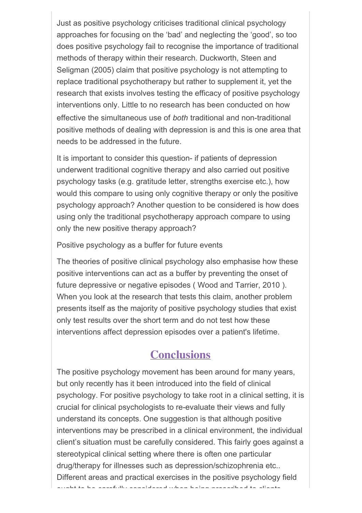Just as positive psychology criticises traditional clinical psychology approaches for focusing on the 'bad' and neglecting the 'good', so too does positive psychology fail to recognise the importance of traditional methods of therapy within their research. Duckworth, Steen and Seligman (2005) claim that positive psychology is not attempting to replace traditional psychotherapy but rather to supplement it, yet the research that exists involves testing the efficacy of positive psychology interventions only. Little to no research has been conducted on how effective the simultaneous use of *both* traditional and non-traditional positive methods of dealing with depression is and this is one area that needs to be addressed in the future.

It is important to consider this question- if patients of depression underwent traditional cognitive therapy and also carried out positive psychology tasks (e.g. gratitude letter, strengths exercise etc.), how would this compare to using only cognitive therapy or only the positive psychology approach? Another question to be considered is how does using only the traditional psychotherapy approach compare to using only the new positive therapy approach?

Positive psychology as a buffer for future events

The theories of positive clinical psychology also emphasise how these positive interventions can act as a buffer by preventing the onset of future depressive or negative episodes ( Wood and Tarrier, 2010 ). When you look at the research that tests this claim, another problem presents itself as the majority of positive psychology studies that exist only test results over the short term and do not test how these interventions affect depression episodes over a patient's lifetime.

## **Conclusions**

The positive psychology movement has been around for many years, but only recently has it been introduced into the field of clinical psychology. For positive psychology to take root in a clinical setting, it is crucial for clinical psychologists to re-evaluate their views and fully understand its concepts. One suggestion is that although positive interventions may be prescribed in a clinical environment, the individual client's situation must be carefully considered. This fairly goes against a stereotypical clinical setting where there is often one particular drug/therapy for illnesses such as depression/schizophrenia etc.. Different areas and practical exercises in the positive psychology field ought to be carefully considered when being prescribed to clients.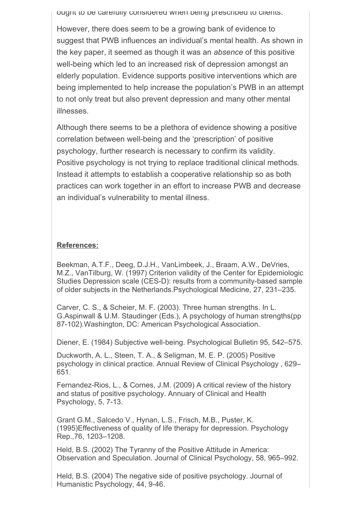ought to be carefully considered when being prescribed to clients.

However, there does seem to be a growing bank of evidence to suggest that PWB influences an individual's mental health. As shown in the key paper, it seemed as though it was an *absence* of this positive well-being which led to an increased risk of depression amongst an elderly population. Evidence supports positive interventions which are being implemented to help increase the population's PWB in an attempt to not only treat but also prevent depression and many other mental illnesses.

Although there seems to be a plethora of evidence showing a positive correlation between well-being and the 'prescription' of positive psychology, further research is necessary to confirm its validity. Positive psychology is not trying to replace traditional clinical methods. Instead it attempts to establish a cooperative relationship so as both practices can work together in an effort to increase PWB and decrease an individual's vulnerability to mental illness.

#### **References:**

Beekman, A.T.F., Deeg, D.J.H., VanLimbeek, J., Braam, A.W., DeVries, M.Z., VanTilburg, W. (1997) Criterion validity of the Center for Epidemiologic Studies Depression scale (CES-D): results from a community-based sample of older subjects in the Netherlands.Psychological Medicine, 27, 231–235.

Carver, C. S., & Scheier, M. F. (2003). Three human strengths. In L. G.Aspinwall & U.M. Staudinger (Eds.), A psychology of human strengths(pp 87-102).Washington, DC: American Psychological Association.

Diener, E. (1984) Subjective well-being. Psychological Bulletin 95, 542–575.

Duckworth, A. L., Steen, T. A., & Seligman, M. E. P. (2005) Positive psychology in clinical practice. Annual Review of Clinical Psychology , 629– 651.

Fernandez-Rios, L., & Cornes, J.M. (2009) A critical review of the history and status of positive psychology. Annuary of Clinical and Health Psychology, 5, 7-13.

Grant G.M., Salcedo V., Hynan, L.S., Frisch, M.B., Puster, K. (1995)Effectiveness of quality of life therapy for depression. Psychology Rep.,76, 1203–1208.

Held, B.S. (2002) The Tyranny of the Positive Attitude in America: Observation and Speculation. Journal of Clinical Psychology, 58, 965–992.

Held, B.S. (2004) The negative side of positive psychology. Journal of Humanistic Psychology, 44, 9-46.